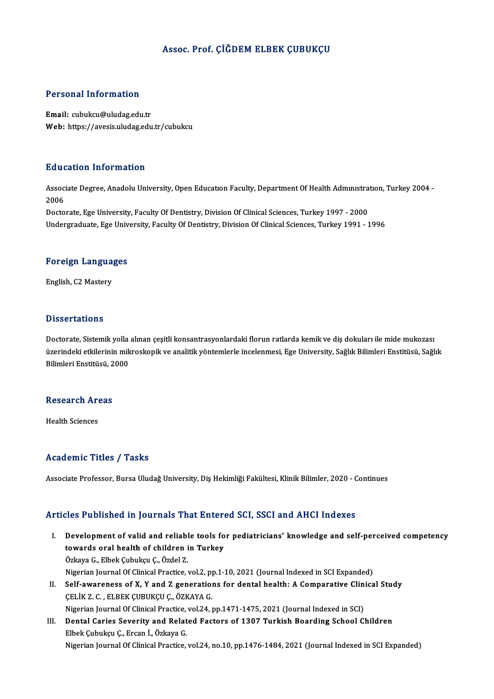#### Assoc. Prof. ÇİĞDEM ELBEK ÇUBUKÇU

#### Personal Information

Email: cubukcu@uludag.edu.tr Web: https://avesis.uludag.edu.tr/cubukcu

#### Education Information

**Education Information**<br>Associate Degree, Anadolu University, Open Education Faculty, Department Of Health Administration, Turkey 2004 -<br>2006 Assoc<br>Assoc<br>2006 2006<br>Doctorate, Ege University, Faculty Of Dentistry, Division Of Clinical Sciences, Turkey 1997 - 2000

Undergraduate, Ege University, Faculty Of Dentistry, Division Of Clinical Sciences, Turkey 1991 - 1996

## <sub>ondergraduate, ege omv<br>Foreign Languages</sub> F<mark>oreign Langua</mark><br>English, C2 Mastery

English, C2 Mastery<br>Dissertations

Dissertations<br>Doctorate, Sistemik yolla alınan çeşitli konsantrasyonlardaki florun ratlarda kemik ve diş dokuları ile mide mukozası<br>üzerindeki etkilerinin mikreskenik ve analitik vöntemlerle incelenmesi. Ege University, Sa ö issesi tatrenis<br>Doctorate, Sistemik yolla alınan çeşitli konsantrasyonlardaki florun ratlarda kemik ve diş dokuları ile mide mukozası<br>üzerindeki etkilerinin mikroskopik ve analitik yöntemlerle incelenmesi, Ege University Doctorate, Sistemik yolla<br>üzerindeki etkilerinin mik<br>Bilimleri Enstitüsü, 2000 Bilimleri Enstitüsü, 2000<br>Research Areas

Health Sciences

#### Academic Titles / Tasks

Associate Professor, Bursa Uludağ University, Diş Hekimliği Fakültesi, Klinik Bilimler, 2020 - Continues

#### Articles Published in Journals That Entered SCI, SSCI and AHCI Indexes

- rticles Published in Journals That Entered SCI, SSCI and AHCI Indexes<br>I. Development of valid and reliable tools for pediatricians' knowledge and self-perceived competency<br>towards and basith of shildron in Turkey towards oral health of children in Turkey<br>Development of valid and reliable tools fo<br>towards oral health of children in Turkey Development of valid and reliabl<br>towards oral health of children i<br>Özkaya G., Elbek Çubukçu Ç., Özdel Z.<br>Nigarian Jaurnal Of Clinical Practice towards oral health of children in Turkey<br>Özkaya G., Elbek Çubukçu Ç., Özdel Z.<br>Nigerian Journal Of Clinical Practice, vol.2, pp.1-10, 2021 (Journal Indexed in SCI Expanded) Özkaya G., Elbek Çubukçu Ç., Özdel Z.<br>Nigerian Journal Of Clinical Practice, vol.2, pp.1-10, 2021 (Journal Indexed in SCI Expanded)<br>II. Self-awareness of X, Y and Z generations for dental health: A Comparative Clinical Stu
- Nigerian Journal Of Clinical Practice, vol.2, p<br>Self-awareness of X, Y and Z generation<br>ÇELİK Z. C. , ELBEK ÇUBUKÇU Ç., ÖZKAYA G.<br>Nigerian Journal Of Clinical Practice, vol.24 . Self-awareness of X, Y and Z generations for dental health: A Comparative Clinical<br>CELIK Z. C. , ELBEK CUBUKCU C., ÖZKAYA G.<br>Nigerian Journal Of Clinical Practice, vol.24, pp.1471-1475, 2021 (Journal Indexed in SCI)<br>Pontal CELIK Z. C. , ELBEK CUBUKCU C., ÖZKAYA G.<br>Nigerian Journal Of Clinical Practice, vol.24, pp.1471-1475, 2021 (Journal Indexed in SCI)<br>III. Dental Caries Severity and Related Factors of 1307 Turkish Boarding School Children<br>
- Nigerian Journal Of Clinical Practice,<br>Dental Caries Severity and Relat<br>Elbek Çubukçu Ç., Ercan İ., Özkaya G.<br>Nigerian Journal Of Clinical Practice De<mark>ntal Caries Severity and Related Factors of 1307 Turkish Boarding School Children</mark><br>Elbek Çubukçu Ç., Ercan İ., Özkaya G.<br>Nigerian Journal Of Clinical Practice, vol.24, no.10, pp.1476-1484, 2021 (Journal Indexed in SCI E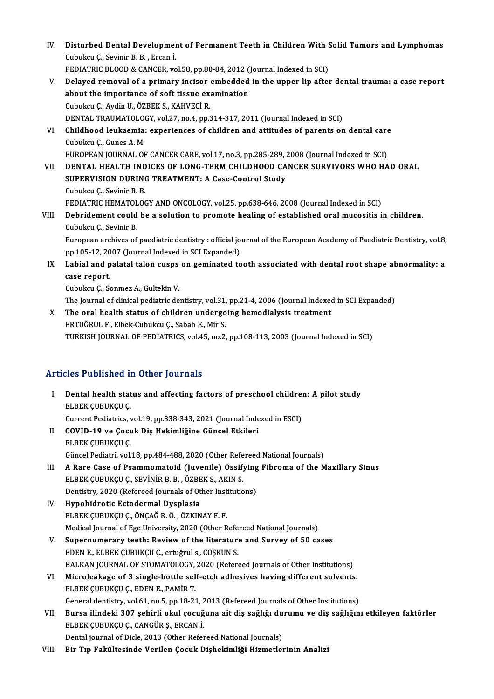- IV. Disturbed Dental Development of Permanent Teeth in Children With Solid Tumors and Lymphomas<br>Cubukay G. Sovinin B. B. Freen İ Disturbed Dental Developmer<br>Cubukcu Ç., Sevinir B. B. , Ercan İ.<br>PEDIATRIC BI QOD & CANCER YO Disturbed Dental Development of Permanent Teeth in Children With S<br>Cubukcu Ç., Sevinir B. B. , Ercan İ.<br>PEDIATRIC BLOOD & CANCER, vol.58, pp.80-84, 2012 (Journal Indexed in SCI)<br>Delayed remayel of a primery insieer embedde Cubukcu Ç., Sevinir B. B. , Ercan İ.<br>PEDIATRIC BLOOD & CANCER, vol.58, pp.80-84, 2012 (Journal Indexed in SCI)<br>V. Delayed removal of a primary incisor embedded in the upper lip after dental trauma: a case report<br>about
	-
- PEDIATRIC BLOOD & CANCER, vol.58, pp.80-84, 2012 (Journal Indexed in SCI)<br>Delayed removal of a primary incisor embedded in the upper lip afte<br>about the importance of soft tissue examination<br>Cubukcu C., Aydin U., ÖZBEK S., Delayed removal of a primary incisor<br>about the importance of soft tissue ex:<br>Cubukcu Ç., Aydin U., ÖZBEK S., KAHVECİ R.<br>DENTAL TRAUMATOLOCY vol 37 no 4 nn 3 about the importance of soft tissue examination<br>Cubukcu Ç., Aydin U., ÖZBEK S., KAHVECİ R.<br>DENTAL TRAUMATOLOGY, vol.27, no.4, pp.314-317, 2011 (Journal Indexed in SCI)<br>Childbood Jouksemia: experiences of shildren and attit
- VI. Childhood leukaemia: experiences of children and attitudes of parents on dental care DENTAL TRAUMATOLO<br>Childhood leukaemia<br>Cubukcu Ç., Gunes A. M.<br>EUBOBEAN JOUBNAL OU Childhood leukaemia: experiences of children and attitudes of parents on dental care<br>Cubukcu Ç., Gunes A. M.<br>EUROPEAN JOURNAL OF CANCER CARE, vol.17, no.3, pp.285-289, 2008 (Journal Indexed in SCI)<br>DENTAL HEALTH INDICES OF
- VII. DENTAL HEALTH INDICES OF LONG-TERM CHILDHOOD CANCER SURVIVORS WHO HAD ORAL SUPERVISION DURING TREATMENT: A Case-Control Study EUROPEAN JOURNAL OF CANCER CARE, vol.17, no.3, pp.285-289, :<br>DENTAL HEALTH INDICES OF LONG-TERM CHILDHOOD CA<br>SUPERVISION DURING TREATMENT: A Case-Control Study<br>Cubukay C. Savinir B. B Cubukcu Ç., Sevinir B. B. SUPERVISION DURING TREATMENT: A Case-Control Study<br>Cubukcu Ç., Sevinir B. B.<br>PEDIATRIC HEMATOLOGY AND ONCOLOGY, vol.25, pp.638-646, 2008 (Journal Indexed in SCI)<br>Debridement seuld be a selution to premete bealing of establ

## VIII. Debridement could be a solution to promote healing of established oral mucositis in children.<br>Cubukcu Ç., Sevinir B. PEDIATRIC HEMATOL<br>Debridement could<br>Cubukcu Ç., Sevinir B.<br>European archives of Debridement could be a solution to promote healing of established oral mucositis in children.<br>Cubukcu Ç., Sevinir B.<br>European archives of paediatric dentistry : official journal of the European Academy of Paediatric Dentis

Cubukcu Ç., Sevinir B.<br>European archives of paediatric dentistry : official jo<br>pp.105-12, 2007 (Journal Indexed in SCI Expanded)<br>Labiel and palatel telen suspe on sominated to European archives of paediatric dentistry : official journal of the European Academy of Paediatric Dentistry, vol.8,<br>pp.105-12, 2007 (Journal Indexed in SCI Expanded)<br>IX. Labial and palatal talon cusps on geminated tooth a

## pp.105-12, 20<br>Labial and p<br>case report. Labial and palatal talon cusps<br>case report.<br>Cubukcu Ç., Sonmez A., Gultekin V.<br>The Journal of clinical podiatric de case report.<br>Cubukcu Ç., Sonmez A., Gultekin V.<br>The Journal of clinical pediatric dentistry, vol.31, pp.21-4, 2006 (Journal Indexed in SCI Expanded)

Cubukcu Ç., Sonmez A., Gultekin V.<br>The Journal of clinical pediatric dentistry, vol.31, pp.21-4, 2006 (Journal Indexed<br>X. The oral health status of children undergoing hemodialysis treatment<br>EPTILOPHU E. Elbek Cubuksu C. S The Journal of clinical pediatric dentistry, vol.31,<br>The oral health status of children undergo<br>ERTUĞRUL F., Elbek-Cubukcu Ç., Sabah E., Mir S.<br>TURKISH JOURNAL OF REDIATRICS vol.45 no.3 ERTUĞRUL F., Elbek-Cubukcu Ç., Sabah E., Mir S.<br>TURKISH JOURNAL OF PEDIATRICS, vol.45, no.2, pp.108-113, 2003 (Journal Indexed in SCI)

### Articles Published in Other Journals

- I. Thicles Published in Other Journals<br>I. Dental health status and affecting factors of preschool children: A pilot study<br>ELBER CURIRCUS ELBEK ÇUBUKÇU<br>ELBEK ÇUBUKÇU Ç.<br>ELBEK ÇUBUKÇU Ç. Dental health status and affecting factors of preschool childre:<br>ELBEK ÇUBUKÇU Ç.<br>Current Pediatrics, vol.19, pp.338-343, 2021 (Journal Indexed in ESCI)<br>COVID 19 ve Cosuk Die Heltimližine Günsel Etkileri ELBEK ÇUBUKÇU Ç.<br>Current Pediatrics, vol.19, pp.338-343, 2021 (Journal Inde<br>II. COVID-19 ve Çocuk Diş Hekimliğine Güncel Etkileri<br>ELBEK ÇUBUKÇU Ç. Current Pediatrics, vol.19, pp.338-343, 2021 (Journal Indexed in ESCI)
- COVID-19 ve Çocuk Diş Hekimliğine Güncel Etkileri<br>ELBEK ÇUBUKÇU Ç.<br>Güncel Pediatri, vol.18, pp.484-488, 2020 (Other Refereed National Journals)<br>A Bare Case of Beammomatoid (Juvenile) Ossifying Eihneme of the M ELBEK ÇUBUKÇU Ç.<br>Güncel Pediatri, vol.18, pp.484-488, 2020 (Other Refereed National Journals)<br>III. A Rare Case of Psammomatoid (Juvenile) Ossifying Fibroma of the Maxillary Sinus<br>FI BEK CUBUKCU C. SEVINIB B. B. ÖZBEK S. AK
- Güncel Pediatri, vol.18, pp.484-488, 2020 (Other Refe<br>A Rare Case of Psammomatoid (Juvenile) Ossify<br>ELBEK ÇUBUKÇU Ç., SEVİNİR B. B. , ÖZBEK S., AKIN S.<br>Dontistry, 2020 (Pefereed Journals of Other Institution A Rare Case of Psammomatoid (Juvenile) Ossifying<br>ELBEK ÇUBUKÇU Ç., SEVİNİR B.B., ÖZBEK S., AKIN S.<br>Dentistry, 2020 (Refereed Journals of Other Institutions)<br>Hunobidrotis Estedormal Dysplasia ELBEK ÇUBUKÇU Ç., SEVİNİR B. B. , ÖZBEK S., AKIN S.<br>Dentistry, 2020 (Refereed Journals of Other Institutions)<br>IV. Hypohidrotic Ectodermal Dysplasia

ELBEKÇUBUKÇUÇ.,ÖNÇAĞR.Ö. ,ÖZKINAYF.F. Hypohidrotic Ectodermal Dysplasia<br>ELBEK ÇUBUKÇU Ç., ÖNÇAĞ R. Ö. , ÖZKINAY F. F.<br>Medical Journal of Ege University, 2020 (Other Refereed National Journals)<br>Sunernumerery teeth: Boyjow of the literature and Survey of 50,93

- V. Supernumerary teeth: Review of the literature and Survey of 50 cases<br>EDEN E., ELBEK CUBUKCU C., ertuğrul s., COSKUN S. Medical Journal of Ege University, 2020 (Other Refe<br>Supernumerary teeth: Review of the literature<br>EDEN E., ELBEK ÇUBUKÇU Ç., ertuğrul s., COŞKUN S.<br>BALKAN JOURNAL OF STOMATOLOGY, 2020 (Refere BALKAN JOURNAL OF STOMATOLOGY, 2020 (Refereed Journals of Other Institutions) EDEN E., ELBEK ÇUBUKÇU Ç., ertuğrul s., COŞKUN S.<br>BALKAN JOURNAL OF STOMATOLOGY, 2020 (Refereed Journals of Other Institutions)<br>VI. Microleakage of 3 single-bottle self-etch adhesives having different solvents.
- BALKAN JOURNAL OF STOMATOLOGY,<br>Microleakage of 3 single-bottle sel<br>ELBEK ÇUBUKÇU Ç., EDEN E., PAMİR T.<br>Conoral danistry, val 61 no 5 nn 19.22 Microleakage of 3 single-bottle self-etch adhesives having different solvents.<br>ELBEK ÇUBUKÇU Ç., EDEN E., PAMİR T.<br>General dentistry, vol.61, no.5, pp.18-21, 2013 (Refereed Journals of Other Institutions)<br>Pures ilindeki 30 ELBEK ÇUBUKÇU Ç., EDEN E., PAMİR T.<br>General dentistry, vol.61, no.5, pp.18-21, 2013 (Refereed Journals of Other Institutions)<br>VII. Bursa ilindeki 307 şehirli okul çocuğuna ait diş sağlığı durumu ve diş sağlığını etkile
- General dentistry, vol.61, no.5, pp.18-21, 2013 (Refereed Journals of Other Institutions)<br>Bursa ilindeki 307 şehirli okul çocuğuna ait diş sağlığı durumu ve diş sağlığır<br>ELBEK ÇUBUKÇU Ç., CANGÜR Ş., ERCAN İ.<br>Dental journal Bursa ilindeki 307 şehirli okul çocuğuna ait diş sağlığı du<br>ELBEK ÇUBUKÇU Ç., CANGÜR Ş., ERCAN İ.<br>Dental journal of Dicle, 2013 (Other Refereed National Journals)<br>Bir Tın Fekültesinde Verilan Cesuk Dishekimliği Himnatler
- VIII. Bir Tıp Fakültesinde Verilen Çocuk Dişhekimliği Hizmetlerinin Analizi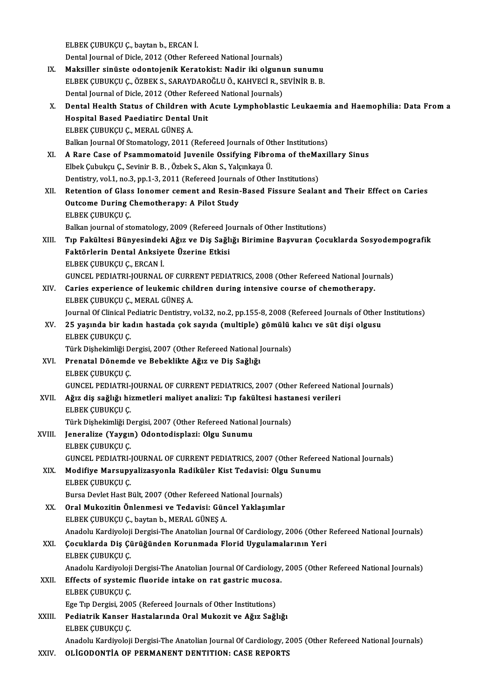ELBEKÇUBUKÇUÇ.,baytanb.,ERCANİ. Dental Journal of Dicle, 2012 (Other Refereed National Journals) ELBEK ÇUBUKÇU Ç., baytan b., ERCAN İ.<br>Dental Journal of Dicle, 2012 (Other Refereed National Journals)<br>IX. Maksiller sinüste odontojenik Keratokist: Nadir iki olgunun sunumu<br>ELBEK CUBUKCU C. ÖZBEK S. SARAYDARQĞLU Ö. KAHYEC ELBEKÇUBUKÇUÇ.,ÖZBEKS.,SARAYDAROĞLUÖ.,KAHVECİR.,SEVİNİRB.B. Maksiller sinüste odontojenik Keratokist: Nadir iki olgunu<br>ELBEK ÇUBUKÇU Ç., ÖZBEK S., SARAYDAROĞLU Ö., KAHVECİ R., S.<br>Dental Journal of Dicle, 2012 (Other Refereed National Journals)<br>Dental Health Status of Children with ELBEK ÇUBUKÇU Ç., ÖZBEK S., SARAYDAROĞLU Ö., KAHVECİ R., SEVİNİR B. B.<br>Dental Journal of Dicle, 2012 (Other Refereed National Journals)<br>X. Dental Health Status of Children with Acute Lymphoblastic Leukaemia and Haemophilia Dental Journal of Dicle, 2012 (Other Refereed National Journals)<br>Dental Health Status of Children with Acute Lymphoblast<br>Hospital Based Paediatirc Dental Unit<br>ELBEK CUBUKÇU C., MERAL GÜNES A. Dental Health Status of Children v<br>Hospital Based Paediatirc Dental<br>ELBEK ÇUBUKÇU Ç., MERAL GÜNEŞ A.<br>Palkan Jaurnal Of Stamatalary 2011 ( Hospital Based Paediatirc Dental Unit<br>ELBEK ÇUBUKÇU Ç., MERAL GÜNEŞ A.<br>Balkan Journal Of Stomatology, 2011 (Refereed Journals of Other Institutions)<br>A Bare Case of Beammomatoid Juvenile Ossifying Eibrema of theMavil ELBEK ÇUBUKÇU Ç., MERAL GÜNEŞ A.<br>Balkan Journal Of Stomatology, 2011 (Refereed Journals of Other Institutions)<br>XI. A Rare Case of Psammomatoid Juvenile Ossifying Fibroma of theMaxillary Sinus<br>Fibels Cubukay C. Sevinin B. B Balkan Journal Of Stomatology, 2011 (Refereed Journals of Ot<br>A Rare Case of Psammomatoid Juvenile Ossifying Fibro<br>Elbek Çubukçu Ç., Sevinir B. B. , Özbek S., Akın S., Yalçınkaya Ü.<br>Dontistuv vel 1. no 2. nn 1.2.2011 (Befer A Rare Case of Psammomatoid Juvenile Ossifying Fibroma of theMa<br>Elbek Çubukçu Ç., Sevinir B. B. , Özbek S., Akın S., Yalçınkaya Ü.<br>Dentistry, vol.1, no.3, pp.1-3, 2011 (Refereed Journals of Other Institutions)<br>Betention of Elbek Çubukçu Ç., Sevinir B. B. , Özbek S., Akın S., Yalçınkaya Ü.<br>Dentistry, vol.1, no.3, pp.1-3, 2011 (Refereed Journals of Other Institutions)<br>XII. Retention of Glass Ionomer cement and Resin-Based Fissure Sealant a Dentistry, vol.1, no.3, pp.1-3, 2011 (Refereed Journa<br>Retention of Glass Ionomer cement and Resin-<br>Outcome During Chemotherapy: A Pilot Study<br>FLARE CURUECU C Retention of Glass<br>Outcome During (<br>ELBEK ÇUBUKÇU Ç.<br>Palkan journal of st **Outcome During Chemotherapy: A Pilot Study<br>ELBEK ÇUBUKÇU Ç.<br>Balkan journal of stomatology, 2009 (Refereed Journals of Other Institutions)<br>Tin Fekültesi Bünyesindeki Ağız ve Die Seğliği Birimine Besuuran Ces** ELBEK ÇUBUKÇU Ç.<br>Balkan journal of stomatology, 2009 (Refereed Journals of Other Institutions)<br>XIII. Tıp Fakültesi Bünyesindeki Ağız ve Diş Sağlığı Birimine Başvuran Çocuklarda Sosyodempografik<br>Faktörlerin Dental Anksi Balkan journal of stomatology, 2009 (Refereed Jo<br>Tıp Fakültesi Bünyesindeki Ağız ve Diş Sağlı<br>Faktörlerin Dental Anksiyete Üzerine Etkisi<br>ELBEK CUBUKCU C. ERCAN İ Tıp Fakültesi Bünyesindek<br>Faktörlerin Dental Anksiye<br>ELBEK ÇUBUKÇU Ç., ERCAN İ.<br>CUNCEL PEDLATPL JOUPMAL Faktörlerin Dental Anksiyete Üzerine Etkisi<br>ELBEK ÇUBUKÇU Ç., ERCAN İ.<br>GUNCEL PEDIATRI-JOURNAL OF CURRENT PEDIATRICS, 2008 (Other Refereed National Journals)<br>Caries experience of leukemis shildren during intensive seures o ELBEK ÇUBUKÇU Ç., ERCAN İ.<br>GUNCEL PEDIATRI-JOURNAL OF CURRENT PEDIATRICS, 2008 (Other Refereed National Jour<br>XIV. Caries experience of leukemic children during intensive course of chemotherapy.<br>FI BEK CUBUKCU C. MERAL CÜNE GUNCEL PEDIATRI-JOURNAL OF CURR<br>Caries experience of leukemic chi<br>ELBEK ÇUBUKÇU Ç., MERAL GÜNEŞ A.<br>Journal Of Clinical Bodiatric Dontistry XIV. Caries experience of leukemic children during intensive course of chemotherapy.<br>ELBEK ÇUBUKÇU Ç., MERAL GÜNEŞ A.<br>Journal Of Clinical Pediatric Dentistry, vol.32, no.2, pp.155-8, 2008 (Refereed Journals of Other Instit ELBEK ÇUBUKÇU Ç., MERAL GÜNEŞ A.<br>Journal Of Clinical Pediatric Dentistry, vol.32, no.2, pp.155-8, 2008 (Refereed Journals of Other<br>XV. 25 yaşında bir kadın hastada çok sayıda (multiple) gömülü kalıcı ve süt dişi olgusu ELBEK ÇUBUKÇU Ç 25 yaşında bir kadın hastada çok sayıda (multiple) gömülü |<br>ELBEK ÇUBUKÇU Ç.<br>Türk Dişhekimliği Dergisi, 2007 (Other Refereed National Journals)<br>Prenatal Dönemde ve Beheklikte Ağız ve Diş Seğlığı XVI. Prenatal Dönemde ve Bebeklikte Ağız ve Diş Sağlığı Türk Dişhekimliği Dergisi, 2007 (Other Refereed National Journals) Prenatal Dönemde ve Bebeklikte Ağız ve Diş Sağlığı<br>ELBEK ÇUBUKÇU Ç.<br>GUNCEL PEDIATRI-JOURNAL OF CURRENT PEDIATRICS, 2007 (Other Refereed National Journals)<br>Ağız diş çoğlığı bizmetleri meliyet onalizi: Tın fekültesi bestanes ELBEK ÇUBUKÇU Ç.<br>GUNCEL PEDIATRI-JOURNAL OF CURRENT PEDIATRICS, 2007 (Other Refereed Na<br>XVII. Ağız diş sağlığı hizmetleri maliyet analizi: Tıp fakültesi hastanesi verileri<br>FI BEK CUBUKÇU C GUNCEL PEDIATRI-<br>Ağız diş sağlığı hi:<br>ELBEK ÇUBUKÇU Ç.<br>Türk Dishekimliği D Ağız diş sağlığı hizmetleri maliyet analizi: Tıp fakültesi hasta<br>ELBEK ÇUBUKÇU Ç.<br>Türk Dişhekimliği Dergisi, 2007 (Other Refereed National Journals)<br>Jonaralize (Yougua) Odantadianlagi: Olgu Sunumu ELBEK ÇUBUKÇU Ç.<br>Türk Dişhekimliği Dergisi, 2007 (Other Refereed Nation:<br>XVIII. | Jeneralize (Yaygın) Odontodisplazi: Olgu Sunumu<br>ELBEK ÇUBUKÇU Ç. Türk Dişhekimliği D<br>Jeneralize (Yaygıı<br>ELBEK ÇUBUKÇU Ç.<br>CUNCEL PEDLATPL Jeneralize (Yaygın) Odontodisplazi: Olgu Sunumu<br>ELBEK ÇUBUKÇU Ç.<br>GUNCEL PEDIATRI-JOURNAL OF CURRENT PEDIATRICS, 2007 (Other Refereed National Journals)<br>Modifiya Maraynyalizasyonla Badiküler Kist Tadayisi: Olsy Synymy ELBEK ÇUBUKÇU Ç.<br>GUNCEL PEDIATRI-JOURNAL OF CURRENT PEDIATRICS, 2007 (Other Referee<br>XIX. Modifiye Marsupyalizasyonla Radiküler Kist Tedavisi: Olgu Sunumu<br>ELBEK CUBUKÇU C GUNCEL PEDIATRI-<br>Modifiye Marsupy<br>ELBEK ÇUBUKÇU Ç.<br>Bursa Devlet Hast B Modifiye Marsupyalizasyonla Radiküler Kist Tedavisi: Olg<br>ELBEK ÇUBUKÇU Ç.<br>Bursa Devlet Hast Bült, 2007 (Other Refereed National Journals)<br>Oral Mukazitin Önlanmasi ve Tedavisi: Cüncel Yaklasımlar ELBEK ÇUBUKÇU Ç.<br>Bursa Devlet Hast Bült, 2007 (Other Refereed National Journals)<br>XX. Oral Mukozitin Önlenmesi ve Tedavisi: Güncel Yaklaşımlar<br>FI BEK CUBUKÇU C, baytan b. MERAL CÜNES A Bursa Devlet Hast Bült, 2007 (Other Refereed Na<br>Oral Mukozitin Önlenmesi ve Tedavisi: Gün<br>ELBEK ÇUBUKÇU Ç., baytan b., MERAL GÜNEŞ A.<br>Anadelu Kardiyeleji Dergisi The Anatelian Jeurn Oral Mukozitin Önlenmesi ve Tedavisi: Güncel Yaklaşımlar<br>ELBEK ÇUBUKÇU Ç., baytan b., MERAL GÜNEŞ A.<br>Anadolu Kardiyoloji Dergisi-The Anatolian Journal Of Cardiology, 2006 (Other Refereed National Journals)<br>Cosuklarda Dis G ELBEK ÇUBUKÇU Ç., baytan b., MERAL GÜNEŞ A.<br>Anadolu Kardiyoloji Dergisi-The Anatolian Journal Of Cardiology, 2006 (Other<br>XXI. Çocuklarda Diş Çürüğünden Korunmada Florid Uygulamalarının Yeri<br>ELBEK ÇUBUKÇU Ç. Anadolu Kardiyoloji<br>**Çocuklarda Diş Çi**<br>ELBEK ÇUBUKÇU Ç.<br>Anadolu Kardiyoloji Çocuklarda Diş Çürüğünden Korunmada Florid Uygulamalarının Yeri<br>ELBEK ÇUBUKÇU Ç.<br>Anadolu Kardiyoloji Dergisi-The Anatolian Journal Of Cardiology, 2005 (Other Refereed National Journals)<br>Effecte of systemis fluoride inteks XXII. Effects of systemic fluoride intake on rat gastric mucosa.<br>ELBEK CUBUKCU C. Anadolu Kardiyoloji<br>Effects of systemi<br>ELBEK ÇUBUKÇU Ç.<br>Ese Tın Dersisi 200 Effects of systemic fluoride intake on rat gastric mucosa<br>ELBEK ÇUBUKÇU Ç.<br>Ege Tıp Dergisi, 2005 (Refereed Journals of Other Institutions)<br>Redistrik Kanser Hestelarında Oral Muksait ve Ağız Soğl ELBEK ÇUBUKÇU Ç.<br>Ege Tıp Dergisi, 2005 (Refereed Journals of Other Institutions)<br>XXIII. Pediatrik Kanser Hastalarında Oral Mukozit ve Ağız Sağlığı<br>FI BEK CUBUKCU C Ege Tıp Dergisi, 200<br>Pediatrik Kanser<br>ELBEK ÇUBUKÇU Ç.<br>Anadalu Kandivalaji Pediatrik Kanser Hastalarında Oral Mukozit ve Ağız Sağlığı<br>ELBEK ÇUBUKÇU Ç.<br>Anadolu Kardiyoloji Dergisi-The Anatolian Journal Of Cardiology, 2005 (Other Refereed National Journals) XXIV. OLİGODONTİA OF PERMANENT DENTITION: CASE REPORTS